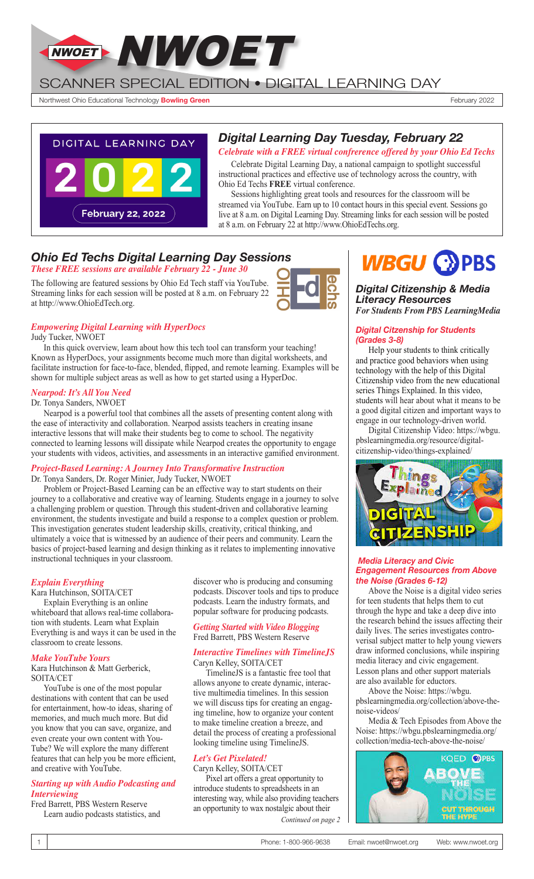

SCANNER SPECIAL EDITION • DIGITAL LEARNING DAY

Northwest Ohio Educational Technology **Bowling Green** February 2022



# *Digital Learning Day Tuesday, February 22*

*Celebrate with a FREE virtual confrerence offered by your Ohio Ed Techs*

Celebrate Digital Learning Day, a national campaign to spotlight successful instructional practices and effective use of technology across the country, with Ohio Ed Techs **FREE** virtual conference.

Sessions highlighting great tools and resources for the classroom will be streamed via YouTube. Earn up to 10 contact hours in this special event. Sessions go live at 8 a.m. on Digital Learning Day. Streaming links for each session will be posted at 8 a.m. on February 22 at http://www.OhioEdTechs.org.

# *Ohio Ed Techs Digital Learning Day Sessions*

*These FREE sessions are available February 22 - June 30*

The following are featured sessions by Ohio Ed Tech staff via YouTube. Streaming links for each session will be posted at 8 a.m. on February 22 at http://www.OhioEdTech.org.



# *Empowering Digital Learning with HyperDocs*

Judy Tucker, NWOET

In this quick overview, learn about how this tech tool can transform your teaching! Known as HyperDocs, your assignments become much more than digital worksheets, and facilitate instruction for face-to-face, blended, flipped, and remote learning. Examples will be shown for multiple subject areas as well as how to get started using a HyperDoc.

#### *Nearpod: It's All You Need*

Dr. Tonya Sanders, NWOET

Nearpod is a powerful tool that combines all the assets of presenting content along with the ease of interactivity and collaboration. Nearpod assists teachers in creating insane interactive lessons that will make their students beg to come to school. The negativity connected to learning lessons will dissipate while Nearpod creates the opportunity to engage your students with videos, activities, and assessments in an interactive gamified environment.

## *Project-Based Learning: A Journey Into Transformative Instruction*

Dr. Tonya Sanders, Dr. Roger Minier, Judy Tucker, NWOET

Problem or Project-Based Learning can be an effective way to start students on their journey to a collaborative and creative way of learning. Students engage in a journey to solve a challenging problem or question. Through this student-driven and collaborative learning environment, the students investigate and build a response to a complex question or problem. This investigation generates student leadership skills, creativity, critical thinking, and ultimately a voice that is witnessed by an audience of their peers and community. Learn the basics of project-based learning and design thinking as it relates to implementing innovative instructional techniques in your classroom.

## *Explain Everything*

Kara Hutchinson, SOITA/CET Explain Everything is an online whiteboard that allows real-time collaboration with students. Learn what Explain Everything is and ways it can be used in the classroom to create lessons.

#### *Make YouTube Yours*

Kara Hutchinson & Matt Gerberick, SOITA/CET

YouTube is one of the most popular destinations with content that can be used for entertainment, how-to ideas, sharing of memories, and much much more. But did you know that you can save, organize, and even create your own content with You-Tube? We will explore the many different features that can help you be more efficient, and creative with YouTube.

#### *Starting up with Audio Podcasting and Interviewing*

Fred Barrett, PBS Western Reserve Learn audio podcasts statistics, and discover who is producing and consuming podcasts. Discover tools and tips to produce podcasts. Learn the industry formats, and popular software for producing podcasts.

#### *Getting Started with Video Blogging* Fred Barrett, PBS Western Reserve

#### *Interactive Timelines with TimelineJS* Caryn Kelley, SOITA/CET

TimelineJS is a fantastic free tool that allows anyone to create dynamic, interactive multimedia timelines. In this session we will discuss tips for creating an engaging timeline, how to organize your content to make timeline creation a breeze, and detail the process of creating a professional looking timeline using TimelineJS.

## *Let's Get Pixelated!*

Caryn Kelley, SOITA/CET

Pixel art offers a great opportunity to introduce students to spreadsheets in an interesting way, while also providing teachers an opportunity to wax nostalgic about their *Continued on page 2*

# **WBGU COPBS**

#### *Digital Citizenship & Media Literacy Resources For Students From PBS LearningMedia*

#### *Digital Citzenship for Students (Grades 3-8)*

Help your students to think critically and practice good behaviors when using technology with the help of this Digital Citizenship video from the new educational series Things Explained. In this video, students will hear about what it means to be a good digital citizen and important ways to engage in our technology-driven world.

Digital Citizenship Video: https://wbgu. pbslearningmedia.org/resource/digitalcitizenship-video/things-explained/



#### *Media Literacy and Civic Engagement Resources from Above the Noise (Grades 6-12)*

Above the Noise is a digital video series for teen students that helps them to cut through the hype and take a deep dive into the research behind the issues affecting their daily lives. The series investigates controverisal subject matter to help young viewers draw informed conclusions, while inspiring media literacy and civic engagement. Lesson plans and other support materials are also available for eductors.

Above the Noise: https://wbgu. pbslearningmedia.org/collection/above-thenoise-videos/

Media & Tech Episodes from Above the Noise: https://wbgu.pbslearningmedia.org/ collection/media-tech-above-the-noise/